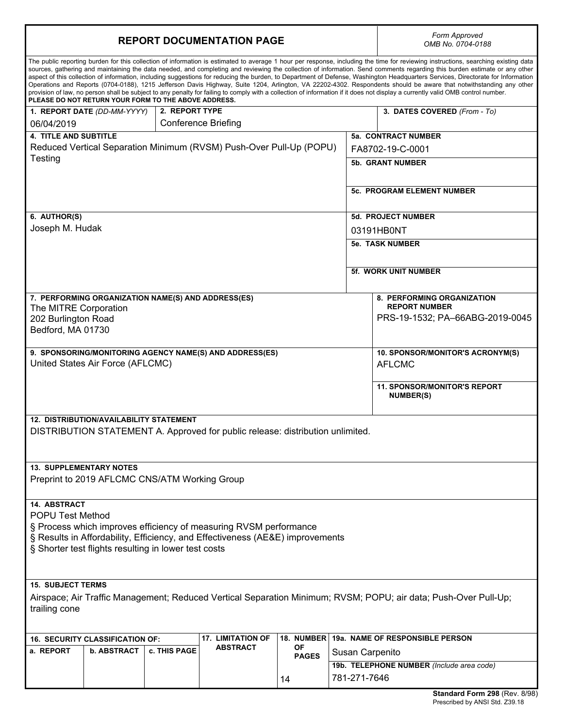| <b>REPORT DOCUMENTATION PAGE</b>                                                            |                    |                     |                            |  |                                           |                 | Form Approved<br>OMB No. 0704-0188                                                                                                                                                                                                                                                                                                                                                                                                                                                                                                                                                                                                                                                                                                                                                                                                                                                                           |  |
|---------------------------------------------------------------------------------------------|--------------------|---------------------|----------------------------|--|-------------------------------------------|-----------------|--------------------------------------------------------------------------------------------------------------------------------------------------------------------------------------------------------------------------------------------------------------------------------------------------------------------------------------------------------------------------------------------------------------------------------------------------------------------------------------------------------------------------------------------------------------------------------------------------------------------------------------------------------------------------------------------------------------------------------------------------------------------------------------------------------------------------------------------------------------------------------------------------------------|--|
| PLEASE DO NOT RETURN YOUR FORM TO THE ABOVE ADDRESS.                                        |                    |                     |                            |  |                                           |                 | The public reporting burden for this collection of information is estimated to average 1 hour per response, including the time for reviewing instructions, searching existing data<br>sources, gathering and maintaining the data needed, and completing and reviewing the collection of information. Send comments regarding this burden estimate or any other<br>aspect of this collection of information, including suggestions for reducing the burden, to Department of Defense, Washington Headquarters Services, Directorate for Information<br>Operations and Reports (0704-0188), 1215 Jefferson Davis Highway, Suite 1204, Arlington, VA 22202-4302. Respondents should be aware that notwithstanding any other<br>provision of law, no person shall be subject to any penalty for failing to comply with a collection of information if it does not display a currently valid OMB control number. |  |
| 2. REPORT TYPE<br>1. REPORT DATE (DD-MM-YYYY)                                               |                    |                     |                            |  |                                           |                 | 3. DATES COVERED (From - To)                                                                                                                                                                                                                                                                                                                                                                                                                                                                                                                                                                                                                                                                                                                                                                                                                                                                                 |  |
| 06/04/2019                                                                                  |                    |                     | <b>Conference Briefing</b> |  |                                           |                 |                                                                                                                                                                                                                                                                                                                                                                                                                                                                                                                                                                                                                                                                                                                                                                                                                                                                                                              |  |
| <b>4. TITLE AND SUBTITLE</b>                                                                |                    |                     |                            |  |                                           |                 | 5a. CONTRACT NUMBER                                                                                                                                                                                                                                                                                                                                                                                                                                                                                                                                                                                                                                                                                                                                                                                                                                                                                          |  |
| Reduced Vertical Separation Minimum (RVSM) Push-Over Pull-Up (POPU)<br>Testing              |                    |                     |                            |  |                                           |                 | FA8702-19-C-0001                                                                                                                                                                                                                                                                                                                                                                                                                                                                                                                                                                                                                                                                                                                                                                                                                                                                                             |  |
|                                                                                             |                    |                     |                            |  |                                           |                 | <b>5b. GRANT NUMBER</b>                                                                                                                                                                                                                                                                                                                                                                                                                                                                                                                                                                                                                                                                                                                                                                                                                                                                                      |  |
|                                                                                             |                    |                     |                            |  |                                           |                 | <b>5c. PROGRAM ELEMENT NUMBER</b>                                                                                                                                                                                                                                                                                                                                                                                                                                                                                                                                                                                                                                                                                                                                                                                                                                                                            |  |
|                                                                                             |                    |                     |                            |  |                                           |                 |                                                                                                                                                                                                                                                                                                                                                                                                                                                                                                                                                                                                                                                                                                                                                                                                                                                                                                              |  |
| 6. AUTHOR(S)                                                                                |                    |                     |                            |  |                                           |                 | <b>5d. PROJECT NUMBER</b>                                                                                                                                                                                                                                                                                                                                                                                                                                                                                                                                                                                                                                                                                                                                                                                                                                                                                    |  |
| Joseph M. Hudak                                                                             |                    |                     |                            |  |                                           |                 | 03191HB0NT                                                                                                                                                                                                                                                                                                                                                                                                                                                                                                                                                                                                                                                                                                                                                                                                                                                                                                   |  |
|                                                                                             |                    |                     |                            |  |                                           |                 | <b>5e. TASK NUMBER</b>                                                                                                                                                                                                                                                                                                                                                                                                                                                                                                                                                                                                                                                                                                                                                                                                                                                                                       |  |
|                                                                                             |                    |                     |                            |  |                                           |                 |                                                                                                                                                                                                                                                                                                                                                                                                                                                                                                                                                                                                                                                                                                                                                                                                                                                                                                              |  |
|                                                                                             |                    |                     |                            |  |                                           |                 | <b>5f. WORK UNIT NUMBER</b>                                                                                                                                                                                                                                                                                                                                                                                                                                                                                                                                                                                                                                                                                                                                                                                                                                                                                  |  |
|                                                                                             |                    |                     |                            |  |                                           |                 |                                                                                                                                                                                                                                                                                                                                                                                                                                                                                                                                                                                                                                                                                                                                                                                                                                                                                                              |  |
|                                                                                             |                    |                     |                            |  |                                           |                 | 8. PERFORMING ORGANIZATION                                                                                                                                                                                                                                                                                                                                                                                                                                                                                                                                                                                                                                                                                                                                                                                                                                                                                   |  |
| 7. PERFORMING ORGANIZATION NAME(S) AND ADDRESS(ES)<br>The MITRE Corporation                 |                    |                     |                            |  |                                           |                 | <b>REPORT NUMBER</b>                                                                                                                                                                                                                                                                                                                                                                                                                                                                                                                                                                                                                                                                                                                                                                                                                                                                                         |  |
| 202 Burlington Road                                                                         |                    |                     |                            |  |                                           |                 | PRS-19-1532; PA-66ABG-2019-0045                                                                                                                                                                                                                                                                                                                                                                                                                                                                                                                                                                                                                                                                                                                                                                                                                                                                              |  |
| Bedford, MA 01730                                                                           |                    |                     |                            |  |                                           |                 |                                                                                                                                                                                                                                                                                                                                                                                                                                                                                                                                                                                                                                                                                                                                                                                                                                                                                                              |  |
|                                                                                             |                    |                     |                            |  |                                           |                 |                                                                                                                                                                                                                                                                                                                                                                                                                                                                                                                                                                                                                                                                                                                                                                                                                                                                                                              |  |
| 9. SPONSORING/MONITORING AGENCY NAME(S) AND ADDRESS(ES)<br>United States Air Force (AFLCMC) |                    |                     |                            |  |                                           |                 | 10. SPONSOR/MONITOR'S ACRONYM(S)                                                                                                                                                                                                                                                                                                                                                                                                                                                                                                                                                                                                                                                                                                                                                                                                                                                                             |  |
|                                                                                             |                    |                     |                            |  |                                           |                 | <b>AFLCMC</b>                                                                                                                                                                                                                                                                                                                                                                                                                                                                                                                                                                                                                                                                                                                                                                                                                                                                                                |  |
|                                                                                             |                    |                     |                            |  |                                           |                 | <b>11. SPONSOR/MONITOR'S REPORT</b><br><b>NUMBER(S)</b>                                                                                                                                                                                                                                                                                                                                                                                                                                                                                                                                                                                                                                                                                                                                                                                                                                                      |  |
| <b>12. DISTRIBUTION/AVAILABILITY STATEMENT</b>                                              |                    |                     |                            |  |                                           |                 |                                                                                                                                                                                                                                                                                                                                                                                                                                                                                                                                                                                                                                                                                                                                                                                                                                                                                                              |  |
| DISTRIBUTION STATEMENT A. Approved for public release: distribution unlimited.              |                    |                     |                            |  |                                           |                 |                                                                                                                                                                                                                                                                                                                                                                                                                                                                                                                                                                                                                                                                                                                                                                                                                                                                                                              |  |
|                                                                                             |                    |                     |                            |  |                                           |                 |                                                                                                                                                                                                                                                                                                                                                                                                                                                                                                                                                                                                                                                                                                                                                                                                                                                                                                              |  |
| <b>13. SUPPLEMENTARY NOTES</b>                                                              |                    |                     |                            |  |                                           |                 |                                                                                                                                                                                                                                                                                                                                                                                                                                                                                                                                                                                                                                                                                                                                                                                                                                                                                                              |  |
| Preprint to 2019 AFLCMC CNS/ATM Working Group                                               |                    |                     |                            |  |                                           |                 |                                                                                                                                                                                                                                                                                                                                                                                                                                                                                                                                                                                                                                                                                                                                                                                                                                                                                                              |  |
| 14. ABSTRACT                                                                                |                    |                     |                            |  |                                           |                 |                                                                                                                                                                                                                                                                                                                                                                                                                                                                                                                                                                                                                                                                                                                                                                                                                                                                                                              |  |
| <b>POPU Test Method</b>                                                                     |                    |                     |                            |  |                                           |                 |                                                                                                                                                                                                                                                                                                                                                                                                                                                                                                                                                                                                                                                                                                                                                                                                                                                                                                              |  |
| § Process which improves efficiency of measuring RVSM performance                           |                    |                     |                            |  |                                           |                 |                                                                                                                                                                                                                                                                                                                                                                                                                                                                                                                                                                                                                                                                                                                                                                                                                                                                                                              |  |
| § Results in Affordability, Efficiency, and Effectiveness (AE&E) improvements               |                    |                     |                            |  |                                           |                 |                                                                                                                                                                                                                                                                                                                                                                                                                                                                                                                                                                                                                                                                                                                                                                                                                                                                                                              |  |
| § Shorter test flights resulting in lower test costs                                        |                    |                     |                            |  |                                           |                 |                                                                                                                                                                                                                                                                                                                                                                                                                                                                                                                                                                                                                                                                                                                                                                                                                                                                                                              |  |
|                                                                                             |                    |                     |                            |  |                                           |                 |                                                                                                                                                                                                                                                                                                                                                                                                                                                                                                                                                                                                                                                                                                                                                                                                                                                                                                              |  |
| <b>15. SUBJECT TERMS</b>                                                                    |                    |                     |                            |  |                                           |                 |                                                                                                                                                                                                                                                                                                                                                                                                                                                                                                                                                                                                                                                                                                                                                                                                                                                                                                              |  |
| trailing cone                                                                               |                    |                     |                            |  |                                           |                 | Airspace; Air Traffic Management; Reduced Vertical Separation Minimum; RVSM; POPU; air data; Push-Over Pull-Up;                                                                                                                                                                                                                                                                                                                                                                                                                                                                                                                                                                                                                                                                                                                                                                                              |  |
|                                                                                             |                    |                     |                            |  |                                           |                 |                                                                                                                                                                                                                                                                                                                                                                                                                                                                                                                                                                                                                                                                                                                                                                                                                                                                                                              |  |
| <b>17. LIMITATION OF</b><br>18. NUMBER<br><b>16. SECURITY CLASSIFICATION OF:</b>            |                    |                     |                            |  |                                           |                 | <b>19a. NAME OF RESPONSIBLE PERSON</b>                                                                                                                                                                                                                                                                                                                                                                                                                                                                                                                                                                                                                                                                                                                                                                                                                                                                       |  |
| a. REPORT                                                                                   | <b>b. ABSTRACT</b> | <b>c. THIS PAGE</b> | <b>ABSTRACT</b>            |  | 0F<br><b>PAGES</b>                        | Susan Carpenito |                                                                                                                                                                                                                                                                                                                                                                                                                                                                                                                                                                                                                                                                                                                                                                                                                                                                                                              |  |
|                                                                                             |                    |                     |                            |  | 19b. TELEPHONE NUMBER (Include area code) |                 |                                                                                                                                                                                                                                                                                                                                                                                                                                                                                                                                                                                                                                                                                                                                                                                                                                                                                                              |  |
|                                                                                             | 14                 |                     |                            |  |                                           |                 | 781-271-7646                                                                                                                                                                                                                                                                                                                                                                                                                                                                                                                                                                                                                                                                                                                                                                                                                                                                                                 |  |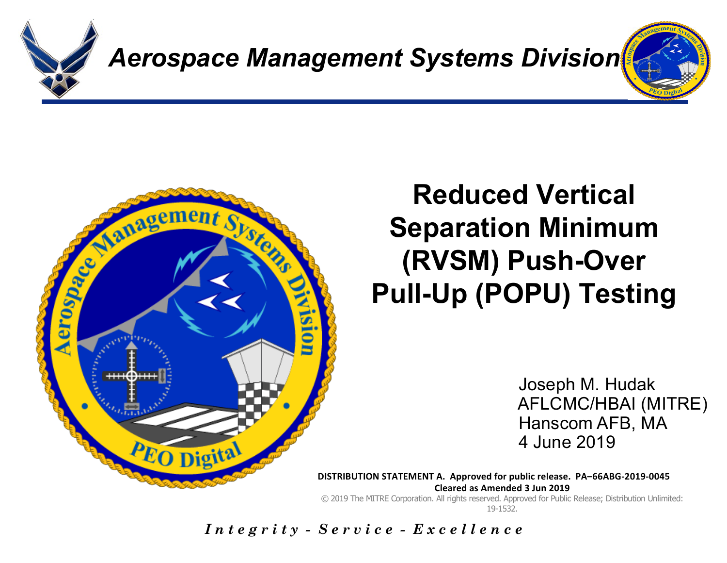

#### *Aerospace Management Systems Division*



## **Reduced Vertical Separation Minimum (RVSM) Push-Over Pull-Up (POPU) Testing**

Joseph M. Hudak AFLCMC/HBAI (MITRE) Hanscom AFB, MA 4 June 2019

**DISTRIBUTION STATEMENT A. Approved for public release. PA–66ABG-2019-0045 Cleared as Amended 3 Jun 2019** 

© 2019 The MITRE Corporation. All rights reserved. Approved for Public Release; Distribution Unlimited: 19-1532.

*I n t e g r i t y - S e r v i c e - E x c e l l e n c e*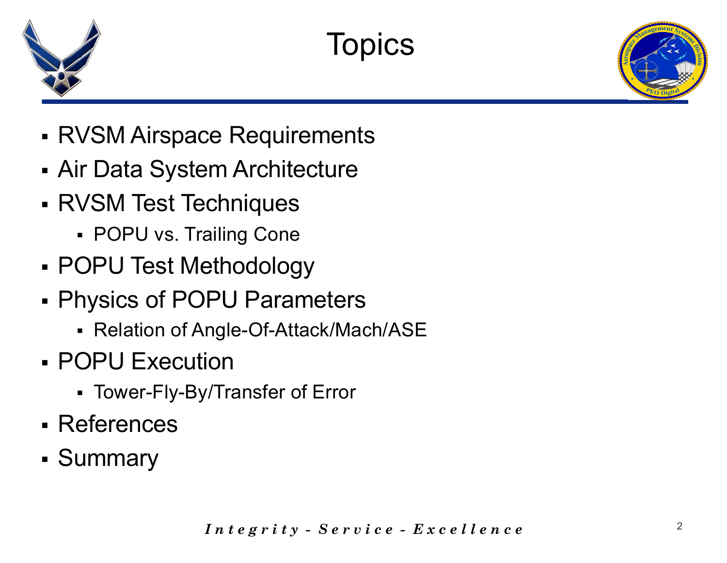





- § RVSM Airspace Requirements
- Air Data System Architecture
- § RVSM Test Techniques
	- POPU vs. Trailing Cone
- § POPU Test Methodology
- § Physics of POPU Parameters
	- § Relation of Angle-Of-Attack/Mach/ASE
- § POPU Execution
	- § Tower-Fly-By/Transfer of Error
- § References
- § Summary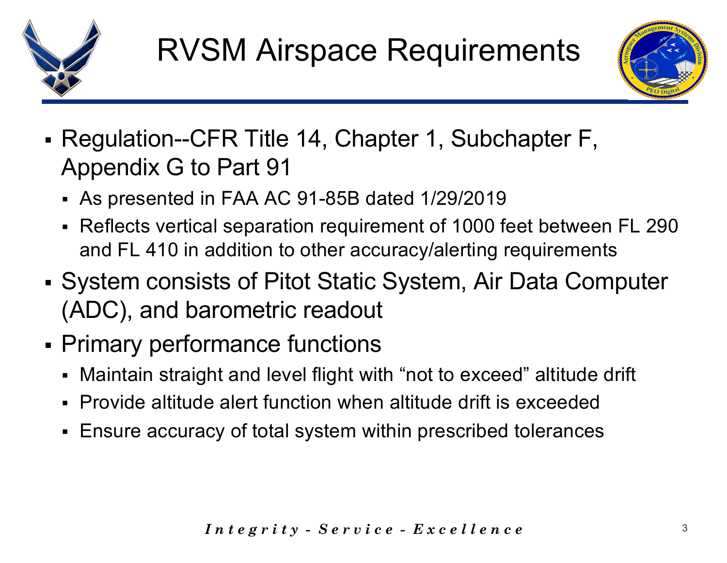



- Regulation--CFR Title 14, Chapter 1, Subchapter F, Appendix G to Part 91
	- § As presented in FAA AC 91-85B dated 1/29/2019
	- § Reflects vertical separation requirement of 1000 feet between FL 290 and FL 410 in addition to other accuracy/alerting requirements
- § System consists of Pitot Static System, Air Data Computer (ADC), and barometric readout
- Primary performance functions
	- Maintain straight and level flight with "not to exceed" altitude drift
	- § Provide altitude alert function when altitude drift is exceeded
	- § Ensure accuracy of total system within prescribed tolerances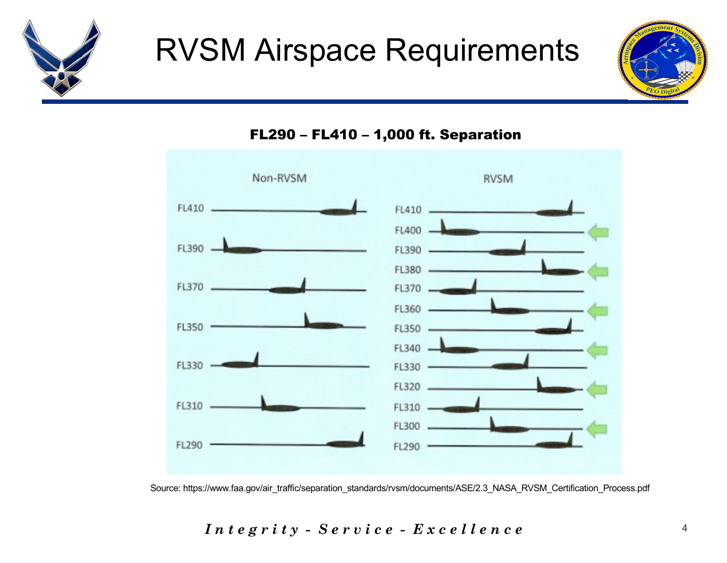

#### FL290 – FL410 – 1,000 ft. Separation



Source: https://www.faa.gov/air\_traffic/separation\_standards/rvsm/documents/ASE/2.3\_NASA\_RVSM\_Certification\_Process.pdf

*I n t e g r i t y - S e r v i c e - E x c e l l e n c e*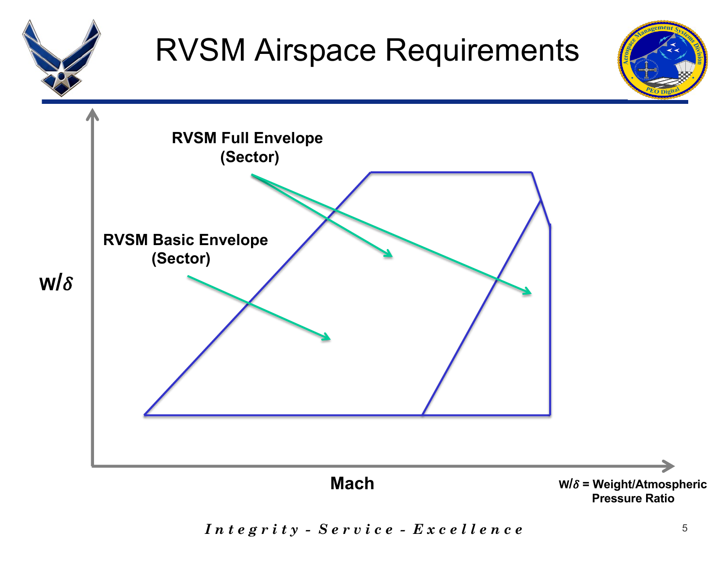

*I n t e g r i t y - S e r v i c e - E x c e l l e n c e*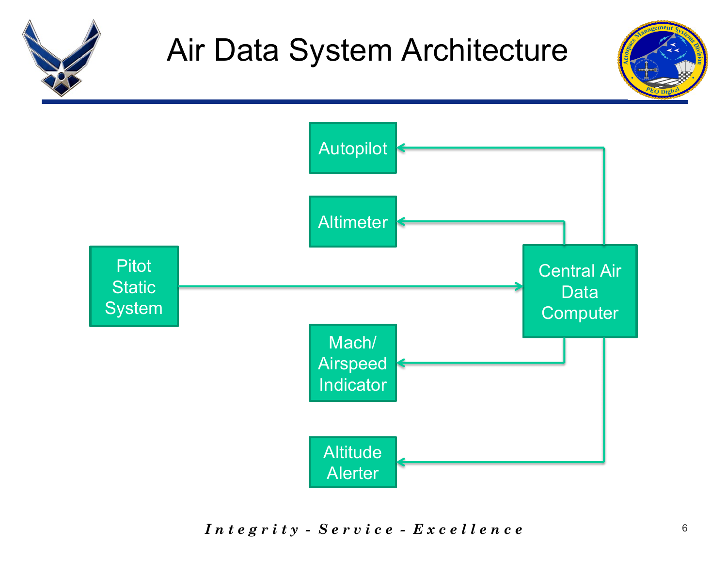

# Air Data System Architecture





*I n t e g r i t y - S e r v i c e - E x c e l l e n c e*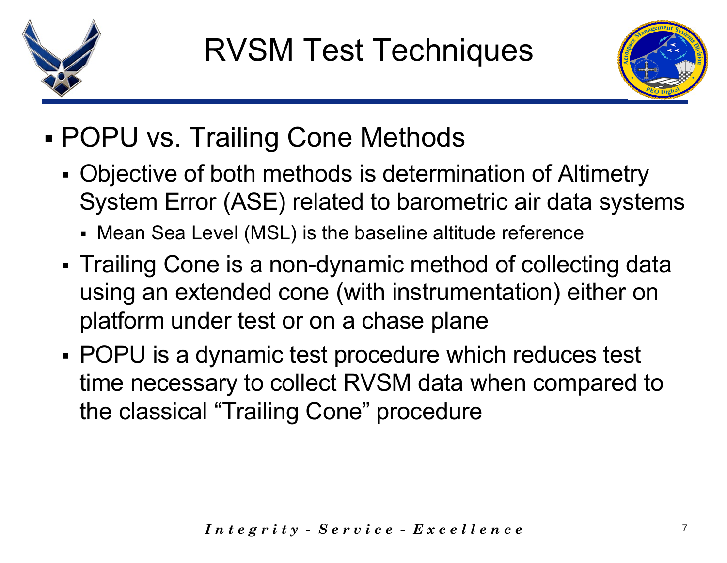



## § POPU vs. Trailing Cone Methods

- Objective of both methods is determination of Altimetry System Error (ASE) related to barometric air data systems
	- § Mean Sea Level (MSL) is the baseline altitude reference
- Trailing Cone is a non-dynamic method of collecting data using an extended cone (with instrumentation) either on platform under test or on a chase plane
- § POPU is a dynamic test procedure which reduces test time necessary to collect RVSM data when compared to the classical "Trailing Cone" procedure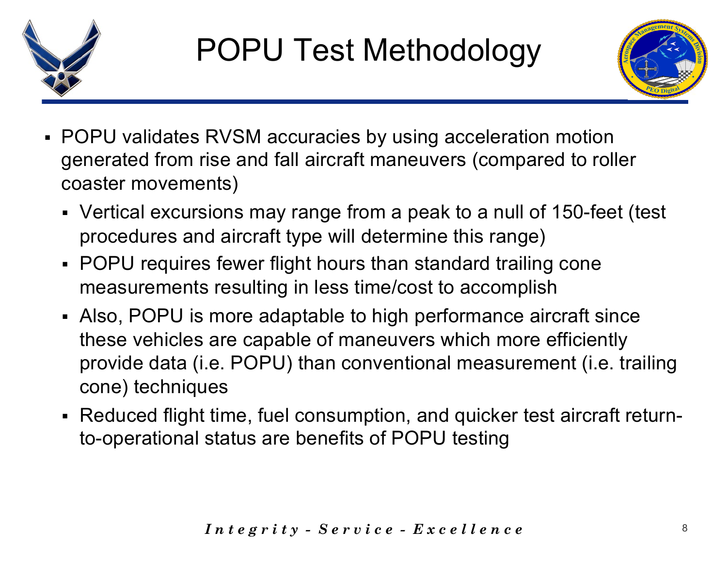



- POPU validates RVSM accuracies by using acceleration motion generated from rise and fall aircraft maneuvers (compared to roller coaster movements)
	- Vertical excursions may range from a peak to a null of 150-feet (test procedures and aircraft type will determine this range)
	- § POPU requires fewer flight hours than standard trailing cone measurements resulting in less time/cost to accomplish
	- § Also, POPU is more adaptable to high performance aircraft since these vehicles are capable of maneuvers which more efficiently provide data (i.e. POPU) than conventional measurement (i.e. trailing cone) techniques
	- § Reduced flight time, fuel consumption, and quicker test aircraft returnto-operational status are benefits of POPU testing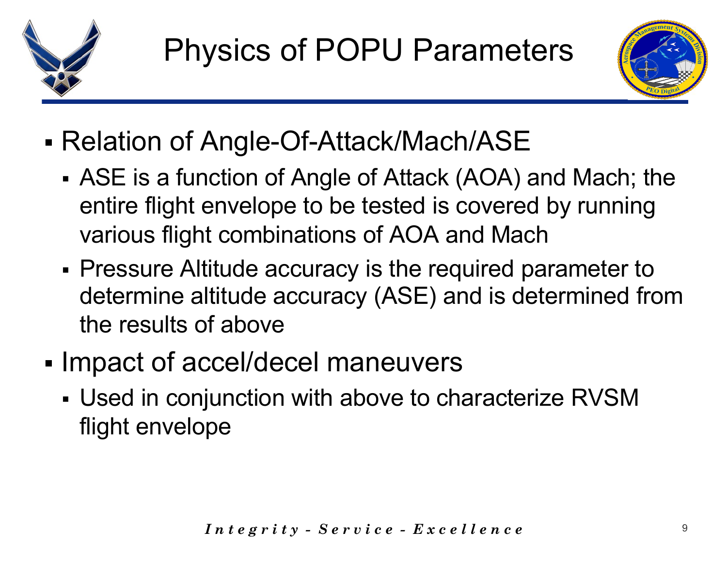



- Relation of Angle-Of-Attack/Mach/ASE
	- ASE is a function of Angle of Attack (AOA) and Mach; the entire flight envelope to be tested is covered by running various flight combinations of AOA and Mach
	- § Pressure Altitude accuracy is the required parameter to determine altitude accuracy (ASE) and is determined from the results of above
- Impact of accel/decel maneuvers
	- § Used in conjunction with above to characterize RVSM flight envelope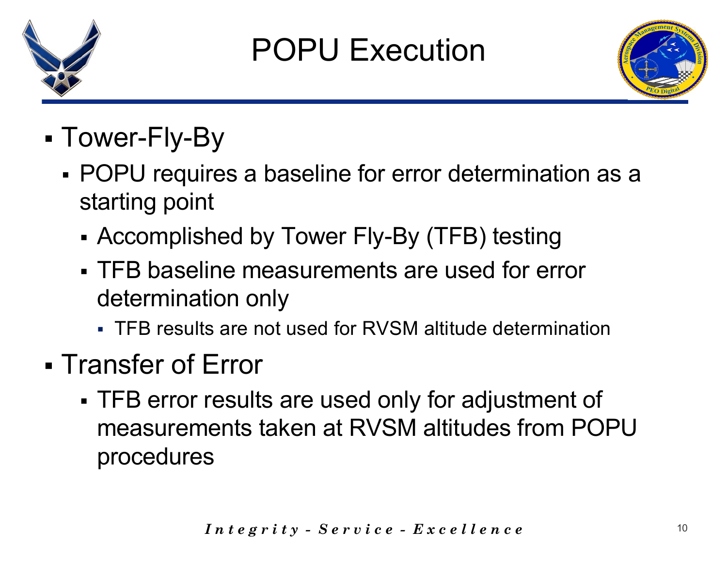

# POPU Execution



- § Tower-Fly-By
	- § POPU requires a baseline for error determination as a starting point
		- § Accomplished by Tower Fly-By (TFB) testing
		- § TFB baseline measurements are used for error determination only
			- § TFB results are not used for RVSM altitude determination
- § Transfer of Error
	- § TFB error results are used only for adjustment of measurements taken at RVSM altitudes from POPU procedures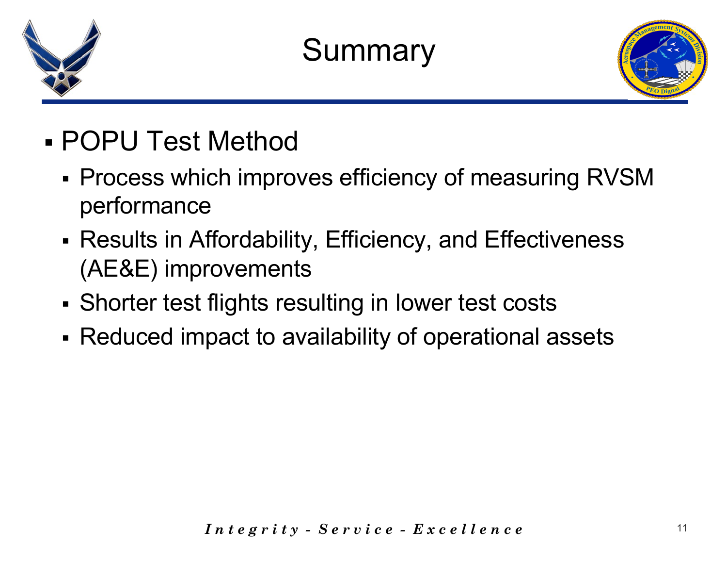

# **Summary**



# § POPU Test Method

- § Process which improves efficiency of measuring RVSM performance
- § Results in Affordability, Efficiency, and Effectiveness (AE&E) improvements
- Shorter test flights resulting in lower test costs
- § Reduced impact to availability of operational assets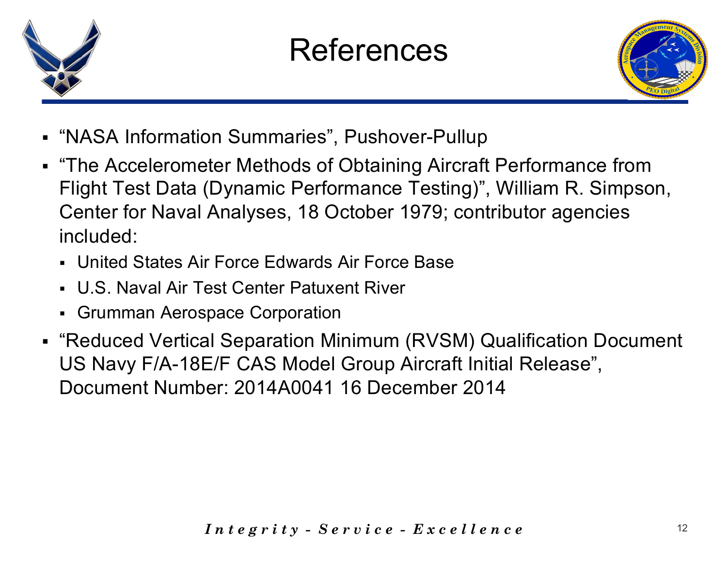

# References



- § "NASA Information Summaries", Pushover-Pullup
- § "The Accelerometer Methods of Obtaining Aircraft Performance from Flight Test Data (Dynamic Performance Testing)", William R. Simpson, Center for Naval Analyses, 18 October 1979; contributor agencies included:
	- § United States Air Force Edwards Air Force Base
	- § U.S. Naval Air Test Center Patuxent River
	- Grumman Aerospace Corporation
- § "Reduced Vertical Separation Minimum (RVSM) Qualification Document US Navy F/A-18E/F CAS Model Group Aircraft Initial Release", Document Number: 2014A0041 16 December 2014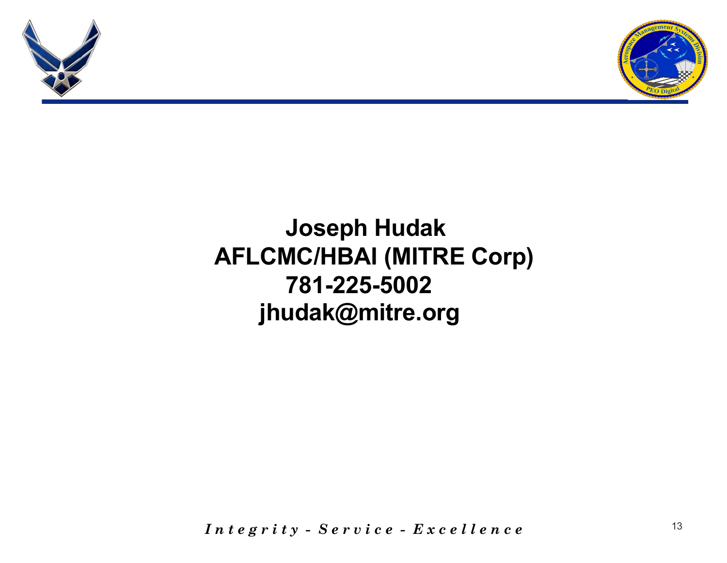



#### **Joseph Hudak AFLCMC/HBAI (MITRE Corp) 781-225-5002 jhudak@mitre.org**